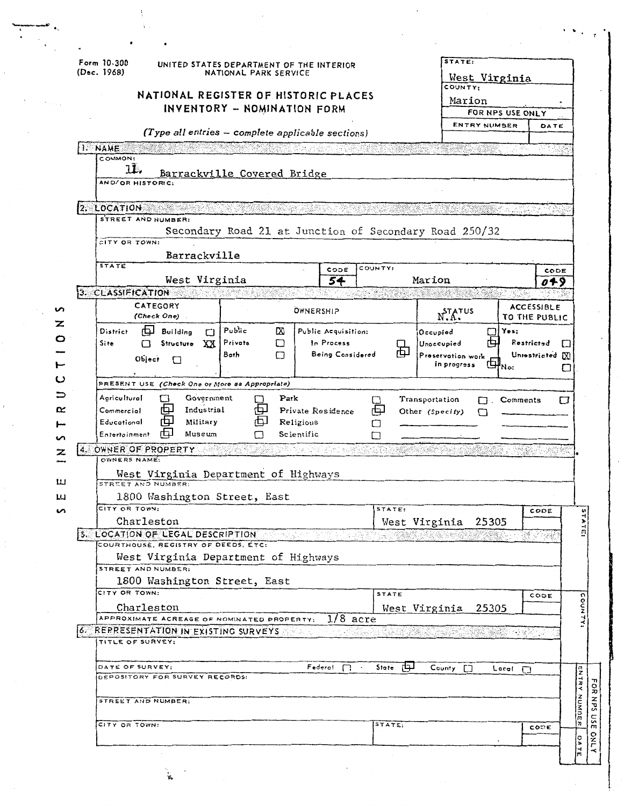|        | Form 10-300<br>(Dec. 1968)                                                          | UNITED STATES DEPARTMENT OF THE INTERIOR | NATIONAL PARK SERVICE |                                                        |           | STATE:                           | West Virginia     |                                    |                     |
|--------|-------------------------------------------------------------------------------------|------------------------------------------|-----------------------|--------------------------------------------------------|-----------|----------------------------------|-------------------|------------------------------------|---------------------|
|        |                                                                                     |                                          |                       | NATIONAL REGISTER OF HISTORIC PLACES                   |           | COUNTY:<br>Marion                |                   |                                    |                     |
|        |                                                                                     | INVENTORY - NOMINATION FORM              |                       |                                                        |           |                                  | FOR NPS USE ONLY  |                                    |                     |
|        |                                                                                     |                                          |                       |                                                        |           |                                  | ENTRY NUMBER      | DATE                               |                     |
|        |                                                                                     |                                          |                       | (Type all entries - complete applicable sections)      |           |                                  |                   |                                    |                     |
|        | I. NAME<br>COMMON:                                                                  |                                          |                       |                                                        |           |                                  |                   |                                    |                     |
|        | $1\mathbf{L}$ .<br>AND/OR HISTORIC:                                                 | Barrackville Covered Bridge              |                       |                                                        |           |                                  |                   |                                    |                     |
|        | 2. LOCATION                                                                         |                                          |                       |                                                        |           |                                  |                   |                                    |                     |
|        | STREET AND NUMBER:<br>CITY OR TOWN:                                                 |                                          |                       | Secondary Road 21 at Junction of Secondary Road 250/32 |           |                                  |                   |                                    |                     |
|        | <b>STATE</b>                                                                        | Barrackville                             |                       |                                                        | COUNTY:   |                                  |                   |                                    |                     |
|        |                                                                                     | West Virginia                            |                       | CODE<br>54                                             |           | Marion                           |                   | CODE<br>049                        |                     |
|        | 3. CLASSIFICATION                                                                   |                                          |                       |                                                        |           |                                  |                   |                                    |                     |
| ທ<br>z | CATEGORY<br>(Check One)                                                             |                                          |                       | OWNERSHIP                                              |           | N.A.                             |                   | <b>ACCESSIBLE</b><br>TO THE PUBLIC |                     |
|        | 山<br><b>District</b><br><b>Building</b>                                             | Public<br>П                              | Œ                     | Public Acquisition:                                    |           | Occupied                         | Yes:<br>T)        |                                    |                     |
| o      | Site<br>П                                                                           | Private<br>Structure XX                  | ᄗ                     | In Process                                             | 內         | Unoccupied                       |                   | Restricted                         | O                   |
|        | Object<br>$\Box$                                                                    | <b>Both</b>                              | П                     | Being Considered                                       |           | Preservation work<br>in progress | di <sub>No:</sub> | Unrestricted [X]                   |                     |
| ပ      | PRESENT USE (Check One or More as Appropriate)                                      |                                          |                       |                                                        |           |                                  |                   |                                    |                     |
|        | Agricultural                                                                        | Government                               | Park                  |                                                        |           | Transportation                   | $\Box$ Comments   |                                    | □                   |
| ≃      | 巾<br>Commercial                                                                     | Industrial                               | ₽                     | Private Residence                                      | 中         | Other (Specify)                  |                   |                                    |                     |
|        |                                                                                     |                                          |                       |                                                        |           |                                  |                   |                                    |                     |
|        | Educational                                                                         | Military                                 |                       | Religious                                              | П         |                                  |                   |                                    |                     |
|        | Entertainment                                                                       | Museum                                   |                       | Scientific                                             | п         |                                  |                   |                                    |                     |
| z      | 4. OWNER OF PROPERTY<br>OWNERS NAME:                                                |                                          |                       |                                                        |           |                                  |                   |                                    |                     |
| ш      | West Virginia Department of Highways<br>STREET AND NUMBER:                          |                                          |                       |                                                        |           |                                  |                   |                                    |                     |
| ш      | 1800 Washington Street, East                                                        |                                          |                       |                                                        |           |                                  |                   |                                    |                     |
| n      | CITY OR TOWN:                                                                       |                                          |                       |                                                        | STATE:    |                                  |                   | CODE                               |                     |
|        | Charleston                                                                          |                                          |                       |                                                        |           | West Virginia                    | 25305             |                                    |                     |
|        | 5. LOCATION OF LEGAL DESCRIPTION<br>COURTHOUSE, REGISTRY OF DEEDS, ETC:             |                                          |                       |                                                        |           |                                  |                   | S PAR                              |                     |
|        | West Virginia Department of Highways                                                |                                          |                       |                                                        |           |                                  |                   |                                    |                     |
|        | STREET AND NUMBER:                                                                  |                                          |                       |                                                        |           |                                  |                   |                                    |                     |
|        | 1800 Washington Street, East                                                        |                                          |                       |                                                        |           |                                  |                   |                                    |                     |
|        | CITY OR TOWN:                                                                       |                                          |                       |                                                        | STATE     |                                  |                   | CODE                               |                     |
|        | Charleston                                                                          |                                          |                       |                                                        |           | West Virginia                    | 25305             |                                    |                     |
|        | APPROXIMATE ACREAGE OF NOMINATED PROPERTY:<br>6. REPRESENTATION IN EXISTING SURVEYS |                                          |                       | $1/8$ acre<br>제요 노                                     |           |                                  |                   |                                    |                     |
|        | TITLE OF SURVEY:                                                                    |                                          |                       |                                                        |           |                                  |                   |                                    |                     |
|        | DATE OF SURVEY:                                                                     |                                          |                       | Federal $\Box$                                         | State [H] | County []                        |                   |                                    |                     |
|        | DEPOSITORY FOR SURVEY RECORDS:                                                      |                                          |                       |                                                        |           |                                  | $Local \Box$      |                                    |                     |
|        | STREET AND NUMBER:                                                                  |                                          |                       |                                                        |           |                                  |                   |                                    |                     |
|        |                                                                                     |                                          |                       |                                                        |           |                                  |                   |                                    |                     |
|        | CITY OR TOWN:                                                                       |                                          |                       |                                                        | STATE:    |                                  |                   | CODE                               | <b>ENTRY NUMBER</b> |

 $\frac{1}{3}$  .

 $\frac{1}{2}$ 

 $\ddot{\phantom{0}}$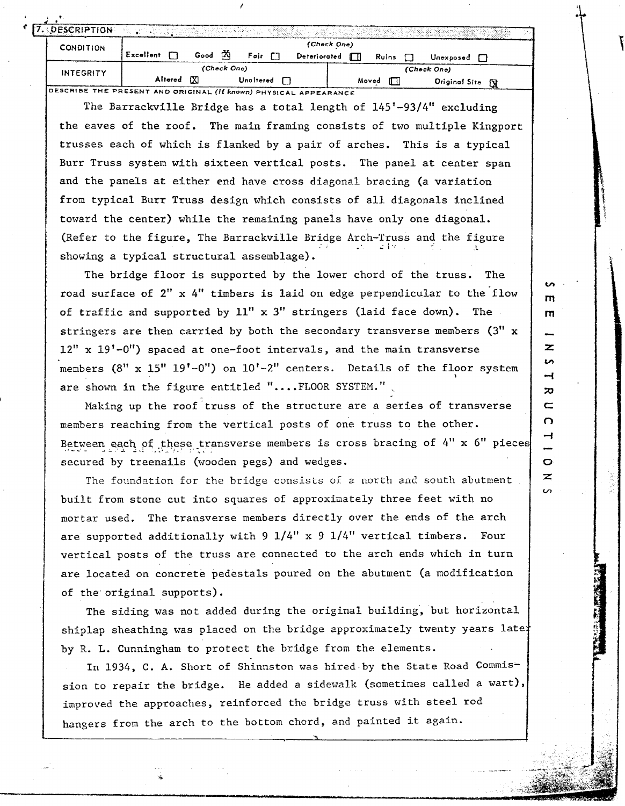| 7. DESCRIPTION   |           |             |      |             |             |              |            |                            |  |
|------------------|-----------|-------------|------|-------------|-------------|--------------|------------|----------------------------|--|
| <b>CONDITION</b> |           |             |      |             |             | (Check One)  |            |                            |  |
|                  | Excellent |             | Good | rXi         | Foir $\Box$ | Deteriorated | Ruins      | Unexposed                  |  |
| <b>INTEGRITY</b> |           |             |      | (Check One) |             |              |            | (Check One)                |  |
|                  |           | Altered [X] |      |             | Unaltered   |              | Moved<br>П | <b>Original Site</b><br>Γÿ |  |

.

Altered <u>M</u> Check One)<br>
(Check One)<br>
(Check One)<br>
(Check One)<br>
(Check One)<br>
(Check One)<br>
(Check One)<br>
(Check One)<br>
(Check One)<br>
(Check One)<br>
(Check One)<br>
(Check One)<br>
(Check One)<br>
(Check One)<br>
(Check One)<br>
(Check One)<br>
Dig The Barrackville Bridge has a total length of 145'-93/4" excluding the eaves of the roof. The main framing consists of two multiple Kingport trusses each of which is flanked by a pair of arches. This is a typical Burr Truss system with sixteen vertical posts. The panel at center span and the panels at either end have cross diagonal bracing (a variation from typical Burr Truss design which consists of all diagonals inclined toward the center) while the remaining panels have only one diagonal. (Refer to the figure, The Barrackville Bridge Arch-Truss and the figure showing a typical structural assemblage).

The bridge floor is supported by the lower chord of the truss. The road surface of *2"* x 4" timbers is laid on edge perpendicular to the'flow of traffic and supported by  $11''$  x  $3''$  stringers (laid face down). The stringers are then carried by both the secondary transverse members **(3"** x  $12''$  x  $19'$ -0") spaced at one-foot intervals, and the main transverse members (8" x 15" 19'-0") on 10'-2" centers. Details of the floor system **b**  are shown in the figure entitled "....FLOOR SYSTEM.".

Making up the roof truss of the structure are a series of transverse members reaching from the vertical posts of one truss to the other. Between each of these transverse members is cross bracing of 4" x 6" pieces secured by treenails (wooden pegs) and wedges.

The foundation for the bridge consists of *a* north and south abutment built from stone cut into squares of approximately three feet with no mortar used. The transverse members directly over the ends of the arch are supported additionally with 9  $1/4$ " x 9  $1/4$ " vertical timbers. Four vertical posts of the truss are connected to the arch ends which in turn are located on concrete pedestals poured on the abutment (a modification of the original supports).

The siding was not added during the original building, but horizontal shiplap sheathing was placed on the bridge approximately twenty years later by R. L. Cunningham to protect the bridge from the elements.

In *1934,* C. **A.** Short of Shinnston was hired.by the State Road **Commis**sion to repair the bridge. He added a sidewalk (sometimes called a wart), improved the approaches, reinforced the bridge truss with steel rod hangers from the arch to the bottom chord, and painted it again.

z ທ  $\overline{\phantom{0}}$  $\mathbf{z}$  $\subset$ O ᅿ

> O  $\overline{\mathbf{z}}$ Š,

m m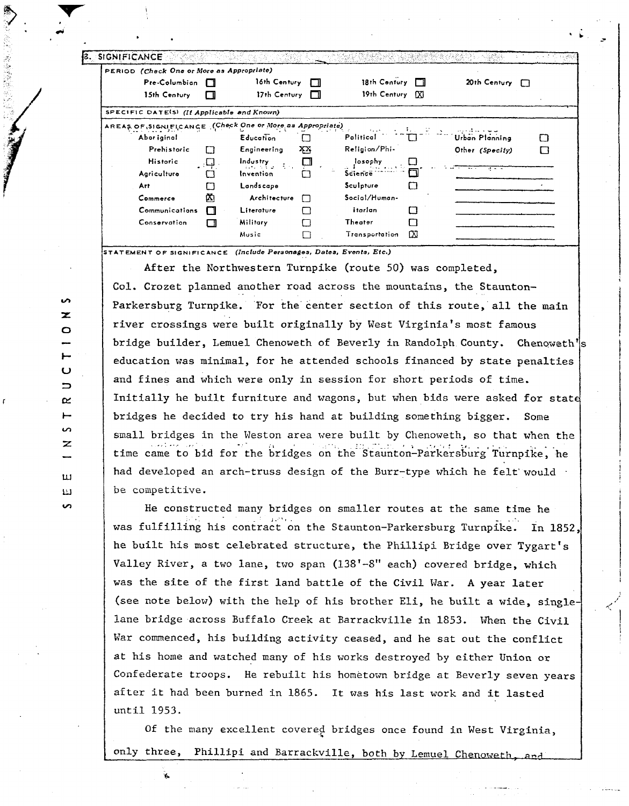| PERIOD (Check One or More as Appropriate)                |        |                                                   |     |                  |       |                       |   |
|----------------------------------------------------------|--------|---------------------------------------------------|-----|------------------|-------|-----------------------|---|
| Pre-Columbian                                            |        | 16th Century                                      | TТ  | 18th Century     |       | 20th Century $\Box$   |   |
| 15th Century                                             | П      | 17th Century                                      | - 1 | 19th Century [X] |       |                       |   |
| SPECIFIC DATE(S) (If Applicable and Known)               |        |                                                   |     |                  |       |                       |   |
| AREAS OF SIGNIFICANCE (Check One or More as Appropriate) |        |                                                   |     |                  | 1. 21 |                       |   |
| Abor iginal                                              |        | <b>Education</b>                                  |     | Political        |       | <b>Urban Planning</b> | ŧ |
| Prehistoric                                              | П      | Engineering                                       | XХ, | Religion/Phi-    |       | Other (Specify)       |   |
| Historic                                                 | ر لېل. | $Ind_{\mathbf{U}}$ stry $\mathbf{I}_{\mathbf{U}}$ |     | losophy<br>.     |       |                       |   |
| Agriculture                                              |        | Invention                                         |     | Science          |       |                       |   |
| Art.                                                     |        | Landscape                                         |     | Sculpture        |       |                       |   |
| Commerce                                                 | Ø.     | Architecture                                      | П   | Social/Human-    |       |                       |   |
| Communications                                           | П      | Literature                                        |     | itarian          |       |                       |   |
| Conservation                                             | □      | Military                                          |     | Theater          |       |                       |   |
|                                                          |        | Music                                             |     | Transportation   | ГXI   |                       |   |

TATEMENT OF SIGNIFICANCE (Include Personages, Dates, Events, Etc.)

After the Northwestern Turnpike (route 50) was completed, Col. Crozet planned another road across the mountains, the Staunton-Parkersburg Turnpike. For the center section of this route, all the main river crossings were built originally by West Virginia's most famous bridge builder, Lemuel Chenoweth of Beverly in Randolph County. Chenoweth's education was minimal, for he attended schools financed by state penalties and fines and which were only in session for short periods of time. Initially he built furniture and wagons, but when bids were asked for state bridges he decided to try his hand at building something bigger. Some small bridges in the Weston area were built by Chenoweth, so that when the time came to bid for the bridges on the Staunton-Parkersburg Turnpike, he had developed an arch-truss design of the Burr-type which he felt would be competitive.

He constructed many bridges on smaller routes at the same time he was fulfilling his contract on the Staunton-Parkersburg Turnpike. In 1852, he built his most celebrated structure, the Phillipi Bridge over Tygart's Valley River, a two lane, two span (138'-8" each) covered bridge, which was the site of the first land battle of the Civil War. A year later (see note below) with the help of his brother Eli, he built a wide, singlelane bridge across Buffalo Creek at Barrackville in 1853. When the Civil War commenced, his building activity ceased, and he sat out the conflict at his home and watched many of his works destroyed by either Union or Confederate troops. He rebuilt his hometown bridge at Beverly seven years after it had been burned in 1865. It was his last work and it lasted until 1953.

Of the many excellent covered bridges once found in West Virginia, only three, Phillipi and Barrackville, both by Lemuel Chenoweth,

 $\sim$  $\mathbf{z}$  $\circ$  $\overline{a}$  $\mathbf C$  $\overline{\phantom{0}}$ <u>مح</u>  $\vdash$  $\mathbf{v}$  $\mathbf{z}$  $\mathbf{u}$ Ш **S**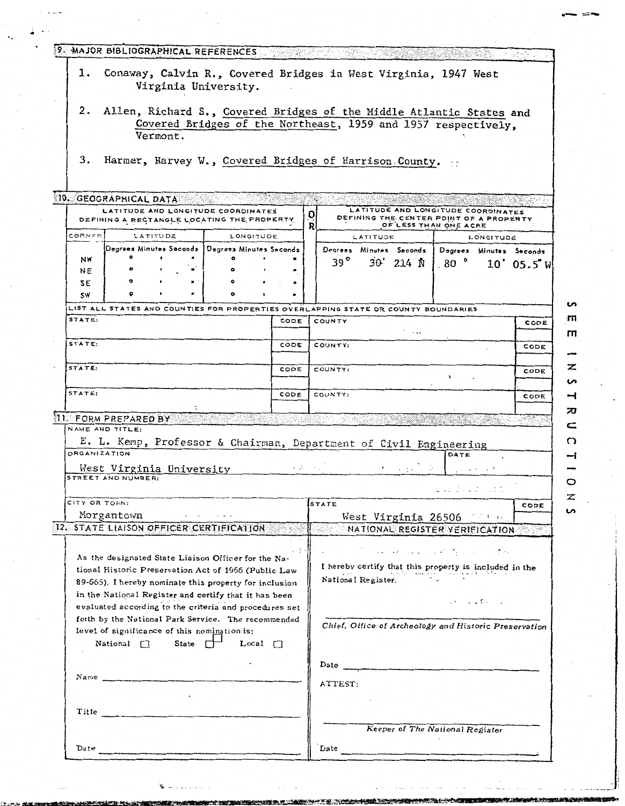| ı.                            |                                                                   |                                              | Conaway, Calvin R., Covered Bridges in West Virginia, 1947 West                                                 |      |        |                       |          |                                                                                                        |                 |                                                                                 |                         |
|-------------------------------|-------------------------------------------------------------------|----------------------------------------------|-----------------------------------------------------------------------------------------------------------------|------|--------|-----------------------|----------|--------------------------------------------------------------------------------------------------------|-----------------|---------------------------------------------------------------------------------|-------------------------|
|                               |                                                                   |                                              | Virginia University.                                                                                            |      |        |                       |          |                                                                                                        |                 |                                                                                 |                         |
| 2.                            |                                                                   |                                              | Allen, Richard S., Covered Bridges of the Middle Atlantic States and                                            |      |        |                       |          |                                                                                                        |                 |                                                                                 |                         |
|                               |                                                                   |                                              | Covered Bridges of the Northeast, 1959 and 1957 respectively,                                                   |      |        |                       |          |                                                                                                        |                 |                                                                                 |                         |
|                               |                                                                   | Vermont.                                     |                                                                                                                 |      |        |                       |          |                                                                                                        |                 |                                                                                 |                         |
| 3.                            |                                                                   |                                              | Harmer, Harvey W., Covered Bridges of Harrison County.                                                          |      |        |                       |          |                                                                                                        |                 |                                                                                 |                         |
|                               |                                                                   |                                              |                                                                                                                 |      |        |                       |          |                                                                                                        |                 |                                                                                 |                         |
|                               | 10. GEOGRAPHICAL DATA                                             |                                              |                                                                                                                 |      |        |                       |          |                                                                                                        |                 |                                                                                 |                         |
|                               |                                                                   |                                              | LATITUDE AND LONGITUDE COORDINATES<br>DEFINING A RECTANGLE LOCATING THE PROPERTY                                |      | 0<br>R |                       |          | LATITUDE AND LONGITUDE COORDINATES<br>DEFINING THE CENTER POINT OF A PROPERTY<br>OF LESS THAN ONE ACRE |                 |                                                                                 |                         |
| CORNER                        |                                                                   | LATITUDE                                     | LONGITUDE                                                                                                       |      |        |                       | LATITUDE |                                                                                                        |                 | LONGITUDE                                                                       |                         |
| NW                            | $\bullet$                                                         |                                              | Degrees Minutes Seconds   Degrees Minutes Seconds                                                               |      |        |                       |          | Degrees Minutes Seconds                                                                                |                 |                                                                                 | Degrees Minutes Seconds |
| NE                            |                                                                   |                                              |                                                                                                                 |      |        | 39 <sup>°</sup>       |          | 30' 214 N                                                                                              | $.80$ $\degree$ |                                                                                 | $10'$ 05.5" W           |
| SE                            |                                                                   |                                              |                                                                                                                 |      |        |                       |          |                                                                                                        |                 |                                                                                 |                         |
| <b>SW</b>                     |                                                                   |                                              |                                                                                                                 |      |        |                       |          |                                                                                                        |                 |                                                                                 |                         |
| STATE:                        |                                                                   |                                              | LIST ALL STATES AND COUNTIES FOR PROPERTIES OVERLAPPING STATE OR COUNTY BOUNDARIES                              | CODE |        |                       |          |                                                                                                        |                 |                                                                                 |                         |
|                               |                                                                   |                                              |                                                                                                                 |      |        | COUNTY                |          |                                                                                                        |                 |                                                                                 | CODE                    |
| STATE:                        |                                                                   |                                              |                                                                                                                 | CODE |        | COUNTY:               |          |                                                                                                        |                 |                                                                                 | CODE                    |
| STATE:                        |                                                                   |                                              |                                                                                                                 | CODE |        | COUNTY:               |          |                                                                                                        |                 |                                                                                 | CODE                    |
|                               |                                                                   |                                              |                                                                                                                 |      |        |                       |          |                                                                                                        |                 |                                                                                 |                         |
| STATE:                        |                                                                   |                                              |                                                                                                                 | CODE |        | COUNTY:               |          |                                                                                                        |                 |                                                                                 | CODE                    |
|                               | <b>IL FORM PREPARED BY</b>                                        |                                              |                                                                                                                 |      |        |                       |          |                                                                                                        |                 |                                                                                 |                         |
|                               | NAME AND TITLE:                                                   |                                              |                                                                                                                 |      |        |                       |          |                                                                                                        |                 |                                                                                 |                         |
|                               |                                                                   |                                              |                                                                                                                 |      |        |                       |          |                                                                                                        |                 |                                                                                 |                         |
|                               | E. L. Kemp, Professor & Chairman, Department of Civil Engineering |                                              |                                                                                                                 |      |        |                       |          |                                                                                                        |                 |                                                                                 |                         |
|                               |                                                                   |                                              |                                                                                                                 |      |        |                       |          |                                                                                                        | DATE            |                                                                                 |                         |
|                               | STREET AND NUMBER:                                                | West Virginia University                     |                                                                                                                 |      |        | <b>Report Follows</b> |          |                                                                                                        |                 |                                                                                 |                         |
|                               |                                                                   |                                              |                                                                                                                 |      |        | STATE                 |          |                                                                                                        | المحاب والوواك  | <b>Contractor</b>                                                               | CODE                    |
|                               | Morgantown                                                        |                                              |                                                                                                                 |      |        |                       |          | West Virginia 26506                                                                                    |                 |                                                                                 |                         |
|                               |                                                                   |                                              | 12. STATE LIAISON OFFICER CERTIFICATION                                                                         |      |        |                       |          | NATIONAL REGISTER VERIFICATION                                                                         |                 |                                                                                 |                         |
|                               |                                                                   |                                              |                                                                                                                 |      | そとり    |                       |          |                                                                                                        |                 |                                                                                 |                         |
|                               |                                                                   |                                              | As the designated State Liaison Officer for the Na-                                                             |      |        |                       |          | المنتقل والمستنبع والأستاني والمستور فعلم المستنب والمستنب                                             |                 |                                                                                 |                         |
|                               |                                                                   |                                              | tional Historic Preservation Act of 1966 (Public Law                                                            |      |        | National Register.    |          | I hereby certify that this property is included in the                                                 |                 |                                                                                 |                         |
|                               |                                                                   |                                              | 89-665), I hereby nominate this property for inclusion<br>in the National Register and certify that it has been |      |        |                       |          |                                                                                                        |                 |                                                                                 |                         |
|                               |                                                                   |                                              | evaluated according to the criteria and procedures set                                                          |      |        |                       |          |                                                                                                        |                 | $\mathcal{L}^2 = \mathcal{L}^2 \mathcal{L}^2$ for $\mathcal{L}^2 \mathcal{L}^2$ |                         |
|                               |                                                                   |                                              | forth by the National Park Service. The recommended                                                             |      |        |                       |          | Chief, Office of Archeology and Historic Preservation                                                  |                 |                                                                                 |                         |
|                               |                                                                   | level of significance of this nomination is: | National $\Box$ State $\Box$ Local $\Box$                                                                       |      |        |                       |          |                                                                                                        |                 |                                                                                 |                         |
|                               |                                                                   |                                              |                                                                                                                 |      |        |                       |          |                                                                                                        |                 |                                                                                 |                         |
|                               |                                                                   |                                              |                                                                                                                 |      |        | Date                  |          |                                                                                                        |                 |                                                                                 |                         |
|                               | Name                                                              |                                              |                                                                                                                 |      |        | ATTEST:               |          |                                                                                                        |                 |                                                                                 |                         |
|                               |                                                                   |                                              |                                                                                                                 |      |        |                       |          |                                                                                                        |                 |                                                                                 |                         |
| Title                         |                                                                   |                                              |                                                                                                                 |      |        |                       |          |                                                                                                        |                 |                                                                                 |                         |
| ORGANIZATION<br>CITY OR TOWN: |                                                                   |                                              |                                                                                                                 |      |        |                       |          | Keeper of The National Register                                                                        |                 |                                                                                 |                         |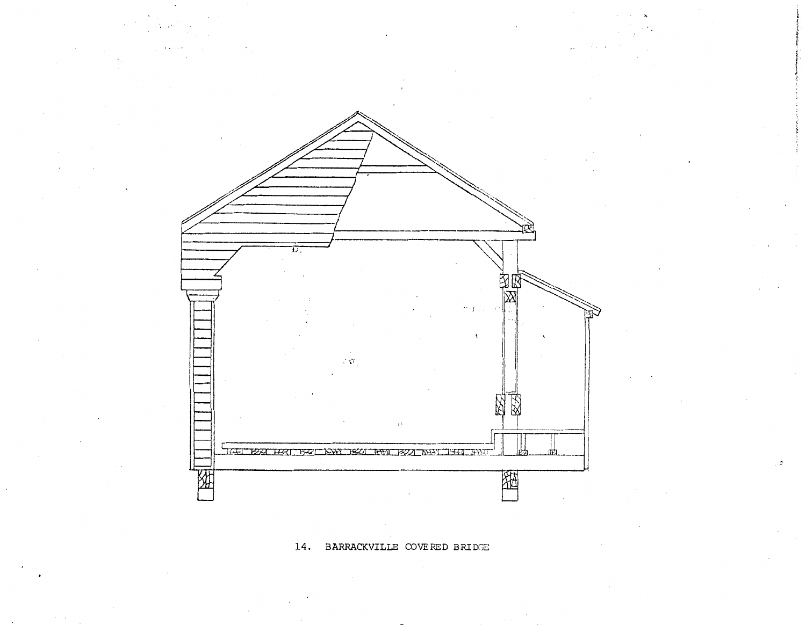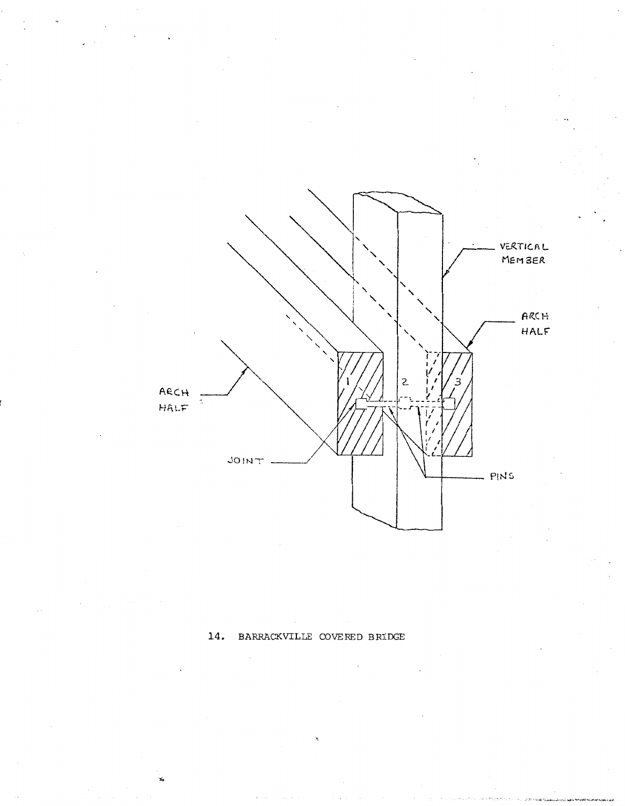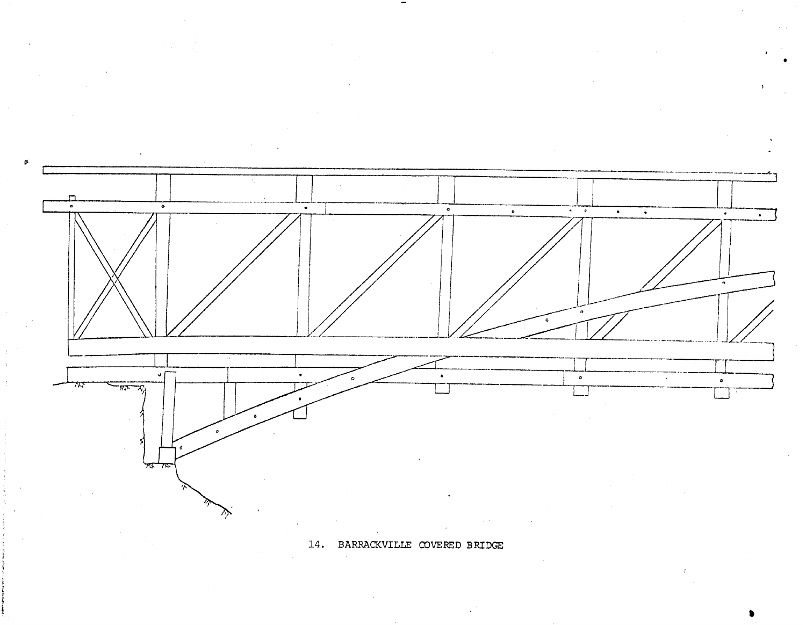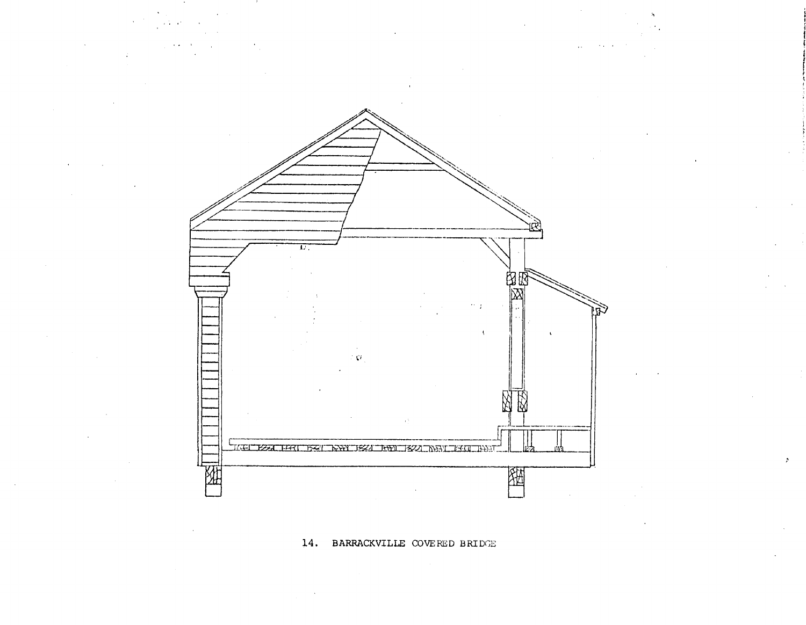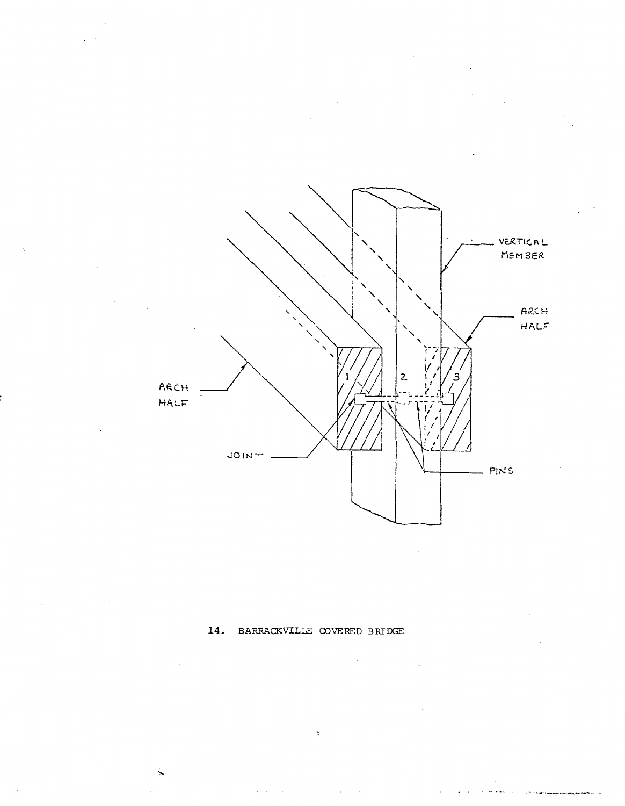

 $\sim$   $\sim$ 

 $\mathbb{R}^2$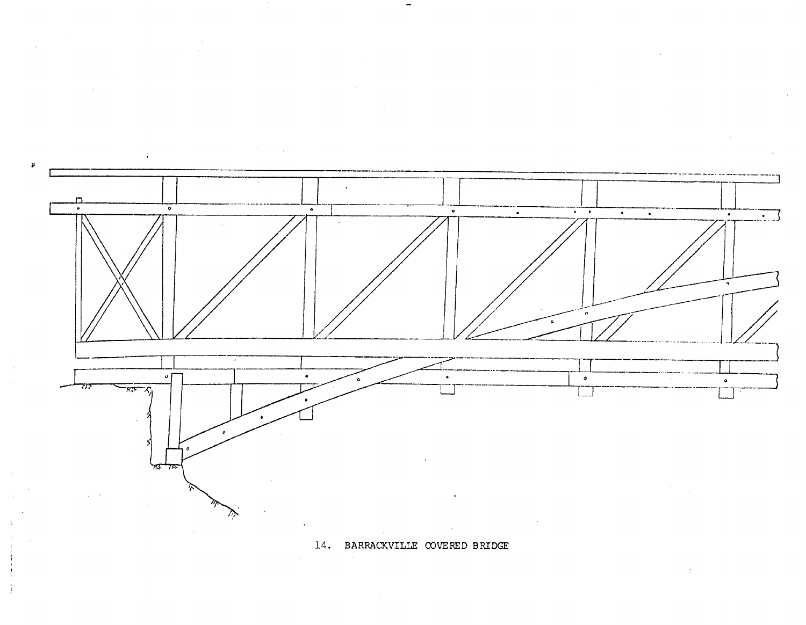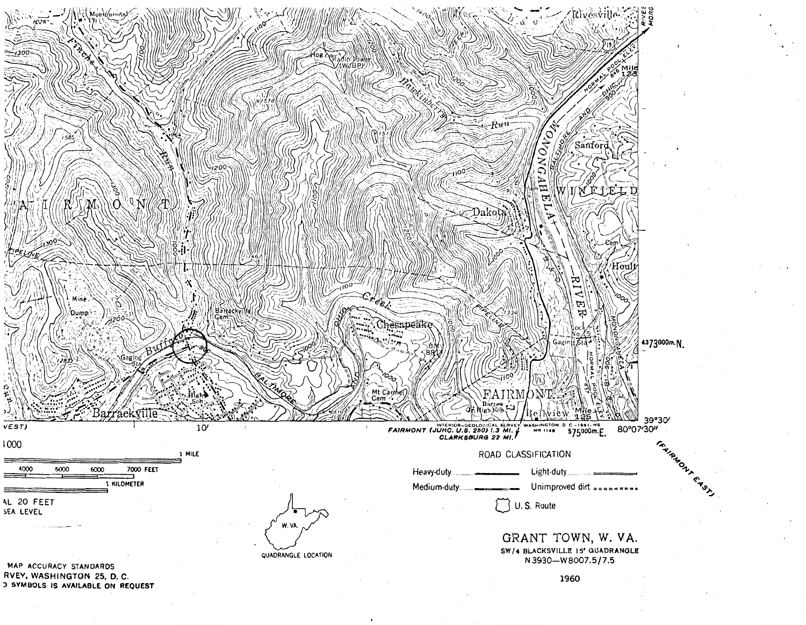